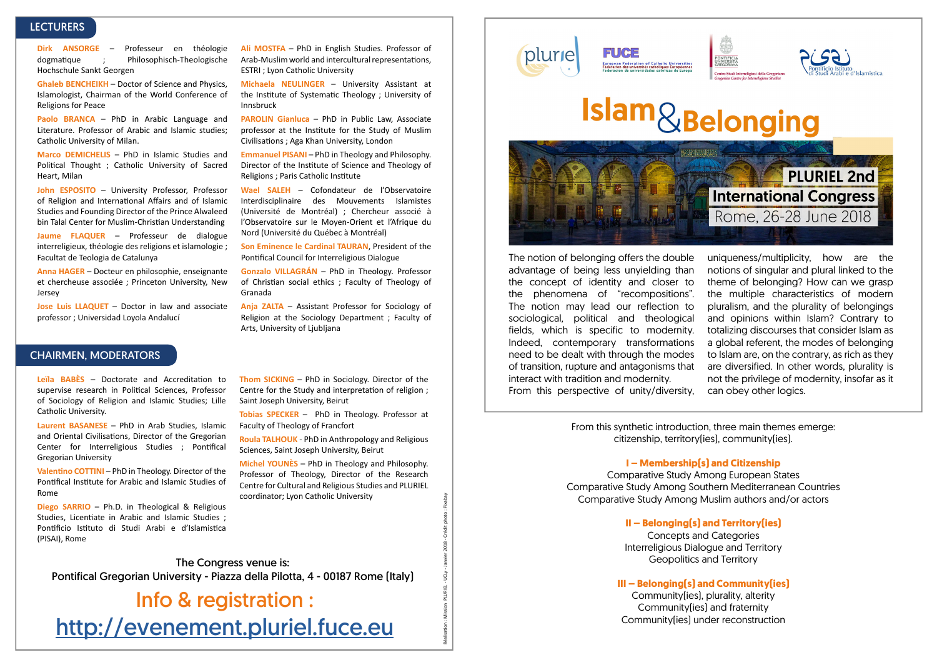# **LECTURERS**

**Dirk ANSORGE** – Professeur en théologie dogmatique ; Philosophisch-Theologische Hochschule Sankt Georgen

**Ghaleb BENCHEIKH** – Doctor of Science and Physics, Islamologist, Chairman of the World Conference of Religions for Peace

**Paolo BRANCA** – PhD in Arabic Language and Literature. Professor of Arabic and Islamic studies; Catholic University of Milan.

**Marco DEMICHELIS** – PhD in Islamic Studies and Political Thought ; Catholic University of Sacred Heart, Milan

**John ESPOSITO** – University Professor, Professor of Religion and International Affairs and of Islamic Studies and Founding Director of the Prince Alwaleed bin Talal Center for Muslim-Christian Understanding

**Jaume FLAQUER** – Professeur de dialogue interreligieux, théologie des religions et islamologie ; Facultat de Teologia de Catalunya

**Anna HAGER** – Docteur en philosophie, enseignante et chercheuse associée ; Princeton University, New Jersey

**Jose Luis LLAQUET** – Doctor in law and associate professor ; Universidad Loyola Andalucí

### CHAIRMEN, MODERATORS

**Leïla BABÈS** – Doctorate and Accreditation to supervise research in Political Sciences, Professor of Sociology of Religion and Islamic Studies; Lille Catholic University.

**Laurent BASANESE** – PhD in Arab Studies, Islamic and Oriental Civilisations, Director of the Gregorian Center for Interreligious Studies ; Pontifical Gregorian University

**Valentino COTTINI** – PhD in Theology. Director of the Pontifical Institute for Arabic and Islamic Studies of Rome

**Diego SARRIO** – Ph.D. in Theological & Religious Studies, Licentiate in Arabic and Islamic Studies ; Pontificio Istituto di Studi Arabi e d'Islamistica (PISAI), Rome

**Ali MOSTFA** – PhD in English Studies. Professor of Arab-Muslim world and intercultural representations. ESTRI ; Lyon Catholic University

**Michaela NEULINGER** – University Assistant at the Institute of Systematic Theology ; University of Innsbruck

**PAROLIN Gianluca** – PhD in Public Law, Associate professor at the Institute for the Study of Muslim Civilisations ; Aga Khan University, London

**Emmanuel PISANI** – PhD in Theology and Philosophy. Director of the Institute of Science and Theology of Religions ; Paris Catholic Institute

**Wael SALEH** – Cofondateur de l'Observatoire Interdisciplinaire des Mouvements Islamistes (Université de Montréal) ; Chercheur associé à l'Observatoire sur le Moyen-Orient et l'Afrique du Nord (Université du Québec à Montréal)

**Son Eminence le Cardinal TAURAN**, President of the Pontifical Council for Interreligious Dialogue

**Gonzalo VILLAGRÁN** – PhD in Theology. Professor of Christian social ethics ; Faculty of Theology of Granada

**Anja ZALTA** – Assistant Professor for Sociology of Religion at the Sociology Department ; Faculty of Arts, University of Ljubljana

**Thom SICKING** – PhD in Sociology. Director of the Centre for the Study and interpretation of religion ; Saint Joseph University, Beirut

**Tobias SPECKER** – PhD in Theology. Professor at Faculty of Theology of Francfort

**Roula TALHOUK** - PhD in Anthropology and Religious Sciences, Saint Joseph University, Beirut

**Michel YOUNÈS** – PhD in Theology and Philosophy. Professor of Theology, Director of the Research Centre for Cultural and Religious Studies and PLURIEL coordinator; Lyon Catholic University

Réalisation : Mission PLURIEL - UCLy - Janvier 2018 - Crédit photo : Pixabay

JCLY-

Mission PLURIEL-

Réalisation:

plurie

**FUCE** 





# **Islam**&Belonging



The notion of belonging offers the double advantage of being less unyielding than the concept of identity and closer to the phenomena of "recompositions". The notion may lead our reflection to sociological, political and theological fields, which is specific to modernity. Indeed, contemporary transformations need to be dealt with through the modes of transition, rupture and antagonisms that interact with tradition and modernity. From this perspective of unity/diversity,

uniqueness/multiplicity, how are the notions of singular and plural linked to the theme of belonging? How can we grasp the multiple characteristics of modern pluralism, and the plurality of belongings and opinions within Islam? Contrary to totalizing discourses that consider Islam as a global referent, the modes of belonging to Islam are, on the contrary, as rich as they are diversified. In other words, plurality is not the privilege of modernity, insofar as it can obey other logics.

From this synthetic introduction, three main themes emerge: citizenship, territory(ies), community(ies).

#### **I – Membership(s) and Citizenship**

Comparative Study Among European States Comparative Study Among Southern Mediterranean Countries Comparative Study Among Muslim authors and/or actors

**II – Belonging(s) and Territory(ies)**

Concepts and Categories Interreligious Dialogue and Territory Geopolitics and Territory

### **III – Belonging(s) and Community(ies)**

Community(ies), plurality, alterity Community(ies) and fraternity Community(ies) under reconstruction

The Congress venue is: Pontifical Gregorian University - Piazza della Pilotta, 4 - 00187 Rome (Italy)

Info & registration : <http://evenement.pluriel.fuce.eu>